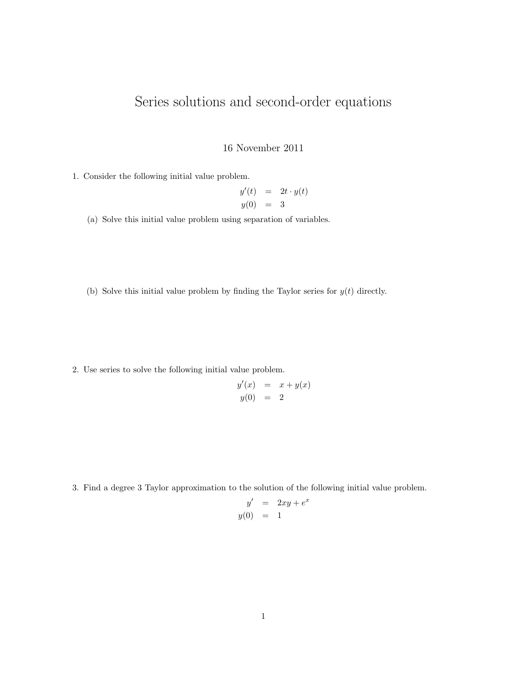## Series solutions and second-order equations

## 16 November 2011

1. Consider the following initial value problem.

$$
y'(t) = 2t \cdot y(t)
$$
  

$$
y(0) = 3
$$

(a) Solve this initial value problem using separation of variables.

(b) Solve this initial value problem by finding the Taylor series for  $y(t)$  directly.

2. Use series to solve the following initial value problem.

$$
y'(x) = x + y(x)
$$
  

$$
y(0) = 2
$$

3. Find a degree 3 Taylor approximation to the solution of the following initial value problem.

$$
y' = 2xy + e^x
$$
  

$$
y(0) = 1
$$